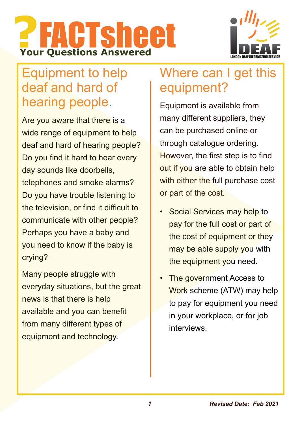



# Equipment to help deaf and hard of hearing people.

Are you aware that there is a wide range of equipment to help deaf and hard of hearing people? Do you find it hard to hear every day sounds like doorbells, telephones and smoke alarms? Do you have trouble listening to the television, or find it difficult to communicate with other people? Perhaps you have a baby and you need to know if the baby is crying?

Many people struggle with everyday situations, but the great news is that there is help available and you can benefit from many different types of equipment and technology.

## Where can I get this equipment?

Equipment is available from many different suppliers, they can be purchased online or through catalogue ordering. However, the first step is to find out if you are able to obtain help with either the full purchase cost or part of the cost.

- Social Services may help to pay for the full cost or part of the cost of equipment or they may be able supply you with the equipment you need.
- The government Access to Work scheme (ATW) may help to pay for equipment you need in your workplace, or for job interviews.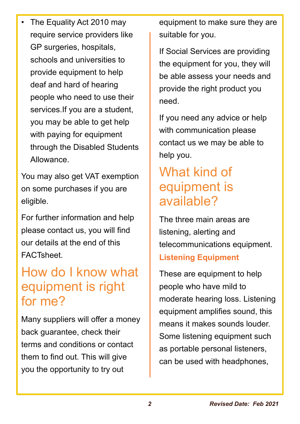• The Equality Act 2010 may require service providers like GP surgeries, hospitals, schools and universities to provide equipment to help deaf and hard of hearing people who need to use their services.If you are a student, you may be able to get help with paying for equipment through the Disabled Students Allowance.

You may also get VAT exemption on some purchases if you are eligible.

For further information and help please contact us, you will find our details at the end of this FACTsheet.

# How do I know what equipment is right for me?

Many suppliers will offer a money back guarantee, check their terms and conditions or contact them to find out. This will give you the opportunity to try out

equipment to make sure they are suitable for you.

If Social Services are providing the equipment for you, they will be able assess your needs and provide the right product you need.

If you need any advice or help with communication please contact us we may be able to help you.

## What kind of equipment is available?

The three main areas are listening, alerting and telecommunications equipment. **Listening Equipment**

These are equipment to help people who have mild to moderate hearing loss. Listening equipment amplifies sound, this means it makes sounds louder. Some listening equipment such as portable personal listeners, can be used with headphones,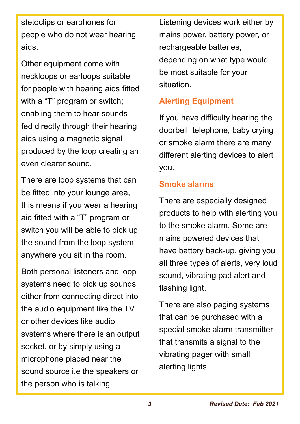stetoclips or earphones for people who do not wear hearing aids.

Other equipment come with neckloops or earloops suitable for people with hearing aids fitted with a "T" program or switch; enabling them to hear sounds fed directly through their hearing aids using a magnetic signal produced by the loop creating an even clearer sound.

There are loop systems that can be fitted into your lounge area, this means if you wear a hearing aid fitted with a "T" program or switch you will be able to pick up the sound from the loop system anywhere you sit in the room.

Both personal listeners and loop systems need to pick up sounds either from connecting direct into the audio equipment like the TV or other devices like audio systems where there is an output socket, or by simply using a microphone placed near the sound source i.e the speakers or the person who is talking.

Listening devices work either by mains power, battery power, or rechargeable batteries, depending on what type would be most suitable for your situation.

#### **Alerting Equipment**

If you have difficulty hearing the doorbell, telephone, baby crying or smoke alarm there are many different alerting devices to alert you.

#### **Smoke alarms**

There are especially designed products to help with alerting you to the smoke alarm. Some are mains powered devices that have battery back-up, giving you all three types of alerts, very loud sound, vibrating pad alert and flashing light.

There are also paging systems that can be purchased with a special smoke alarm transmitter that transmits a signal to the vibrating pager with small alerting lights.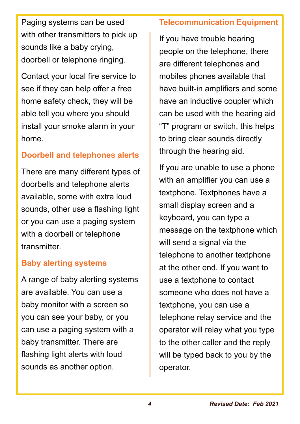Paging systems can be used with other transmitters to pick up sounds like a baby crying, doorbell or telephone ringing.

Contact your local fire service to see if they can help offer a free home safety check, they will be able tell you where you should install your smoke alarm in your home.

### **Doorbell and telephones alerts**

There are many different types of doorbells and telephone alerts available, some with extra loud sounds, other use a flashing light or you can use a paging system with a doorbell or telephone **transmitter** 

### **Baby alerting systems**

A range of baby alerting systems are available. You can use a baby monitor with a screen so you can see your baby, or you can use a paging system with a baby transmitter. There are flashing light alerts with loud sounds as another option.

### **Telecommunication Equipment**

If you have trouble hearing people on the telephone, there are different telephones and mobiles phones available that have built-in amplifiers and some have an inductive coupler which can be used with the hearing aid "T" program or switch, this helps to bring clear sounds directly through the hearing aid.

If you are unable to use a phone with an amplifier you can use a textphone. Textphones have a small display screen and a keyboard, you can type a message on the textphone which will send a signal via the telephone to another textphone at the other end. If you want to use a textphone to contact someone who does not have a textphone, you can use a telephone relay service and the operator will relay what you type to the other caller and the reply will be typed back to you by the operator.